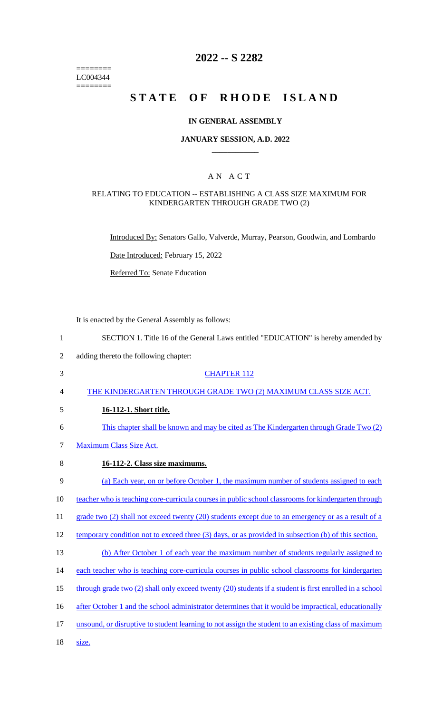======== LC004344  $=$ 

# **2022 -- S 2282**

# STATE OF RHODE ISLAND

# **IN GENERAL ASSEMBLY**

#### **JANUARY SESSION, A.D. 2022 \_\_\_\_\_\_\_\_\_\_\_\_**

### A N A C T

#### RELATING TO EDUCATION -- ESTABLISHING A CLASS SIZE MAXIMUM FOR KINDERGARTEN THROUGH GRADE TWO (2)

Introduced By: Senators Gallo, Valverde, Murray, Pearson, Goodwin, and Lombardo

Date Introduced: February 15, 2022

Referred To: Senate Education

It is enacted by the General Assembly as follows:

| $\mathbf{1}$   | SECTION 1. Title 16 of the General Laws entitled "EDUCATION" is hereby amended by                       |
|----------------|---------------------------------------------------------------------------------------------------------|
| $\overline{2}$ | adding thereto the following chapter:                                                                   |
| 3              | <b>CHAPTER 112</b>                                                                                      |
| 4              | THE KINDERGARTEN THROUGH GRADE TWO (2) MAXIMUM CLASS SIZE ACT.                                          |
| 5              | 16-112-1. Short title.                                                                                  |
| 6              | This chapter shall be known and may be cited as The Kindergarten through Grade Two (2)                  |
| 7              | <b>Maximum Class Size Act.</b>                                                                          |
| 8              | 16-112-2. Class size maximums.                                                                          |
| 9              | (a) Each year, on or before October 1, the maximum number of students assigned to each                  |
| 10             | teacher who is teaching core-curricula courses in public school classrooms for kindergarten through     |
| 11             | grade two (2) shall not exceed twenty (20) students except due to an emergency or as a result of a      |
| 12             | temporary condition not to exceed three (3) days, or as provided in subsection (b) of this section.     |
| 13             | (b) After October 1 of each year the maximum number of students regularly assigned to                   |
| 14             | each teacher who is teaching core-curricula courses in public school classrooms for kindergarten        |
| 15             | through grade two (2) shall only exceed twenty (20) students if a student is first enrolled in a school |
| 16             | after October 1 and the school administrator determines that it would be impractical, educationally     |
| 17             | unsound, or disruptive to student learning to not assign the student to an existing class of maximum    |
| 18             | size.                                                                                                   |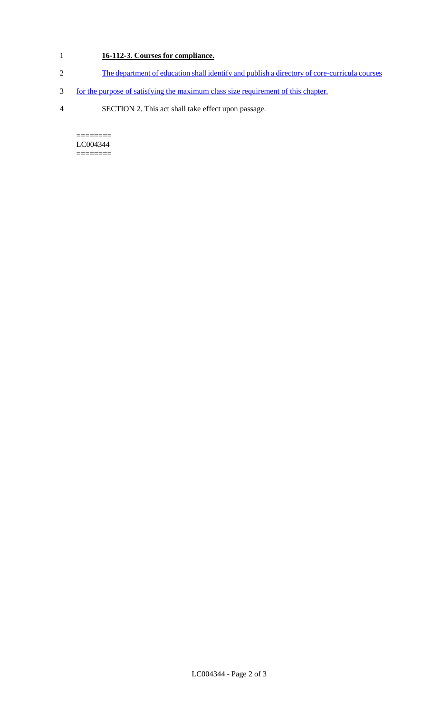# 1 **16-112-3. Courses for compliance.**

- 2 The department of education shall identify and publish a directory of core-curricula courses
- 3 for the purpose of satisfying the maximum class size requirement of this chapter.
- 4 SECTION 2. This act shall take effect upon passage.

======== LC004344 ========